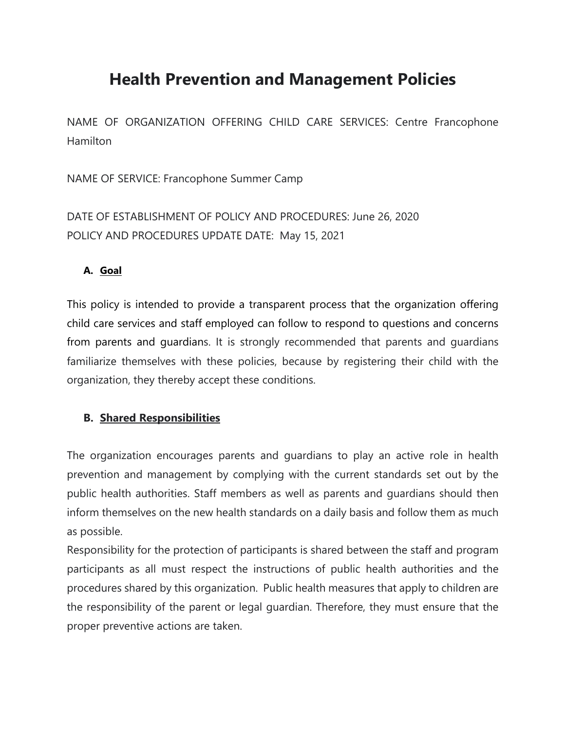# **Health Prevention and Management Policies**

NAME OF ORGANIZATION OFFERING CHILD CARE SERVICES: Centre Francophone Hamilton

NAME OF SERVICE: Francophone Summer Camp

DATE OF ESTABLISHMENT OF POLICY AND PROCEDURES: June 26, 2020 POLICY AND PROCEDURES UPDATE DATE: May 15, 2021

#### **A. Goal**

This policy is intended to provide a transparent process that the organization offering child care services and staff employed can follow to respond to questions and concerns from parents and guardians. It is strongly recommended that parents and guardians familiarize themselves with these policies, because by registering their child with the organization, they thereby accept these conditions.

#### **B. Shared Responsibilities**

The organization encourages parents and guardians to play an active role in health prevention and management by complying with the current standards set out by the public health authorities. Staff members as well as parents and guardians should then inform themselves on the new health standards on a daily basis and follow them as much as possible.

Responsibility for the protection of participants is shared between the staff and program participants as all must respect the instructions of public health authorities and the procedures shared by this organization. Public health measures that apply to children are the responsibility of the parent or legal guardian. Therefore, they must ensure that the proper preventive actions are taken.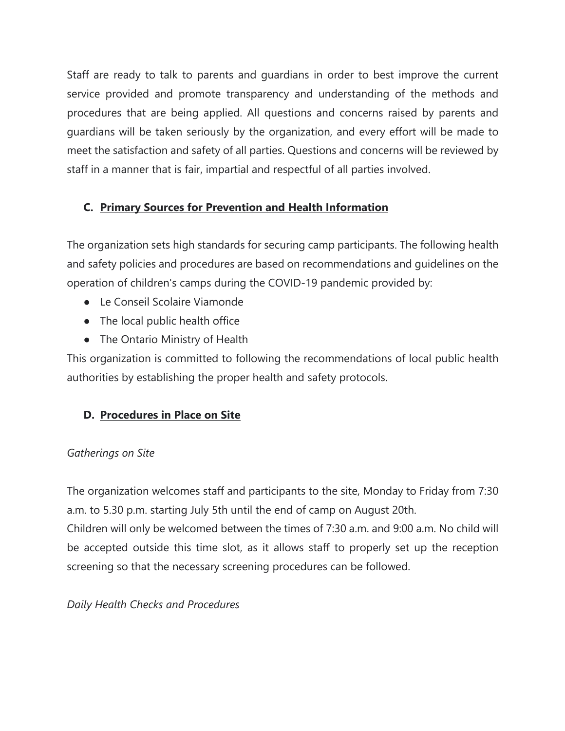Staff are ready to talk to parents and guardians in order to best improve the current service provided and promote transparency and understanding of the methods and procedures that are being applied. All questions and concerns raised by parents and guardians will be taken seriously by the organization, and every effort will be made to meet the satisfaction and safety of all parties. Questions and concerns will be reviewed by staff in a manner that is fair, impartial and respectful of all parties involved.

# **C. Primary Sources for Prevention and Health Information**

The organization sets high standards for securing camp participants. The following health and safety policies and procedures are based on recommendations and guidelines on the operation of children's camps during the COVID-19 pandemic provided by:

- Le Conseil Scolaire Viamonde
- The local public health office
- The Ontario Ministry of Health

This organization is committed to following the recommendations of local public health authorities by establishing the proper health and safety protocols.

## **D. Procedures in Place on Site**

## *Gatherings on Site*

The organization welcomes staff and participants to the site, Monday to Friday from 7:30 a.m. to 5.30 p.m. starting July 5th until the end of camp on August 20th.

Children will only be welcomed between the times of 7:30 a.m. and 9:00 a.m. No child will be accepted outside this time slot, as it allows staff to properly set up the reception screening so that the necessary screening procedures can be followed.

## *Daily Health Checks and Procedures*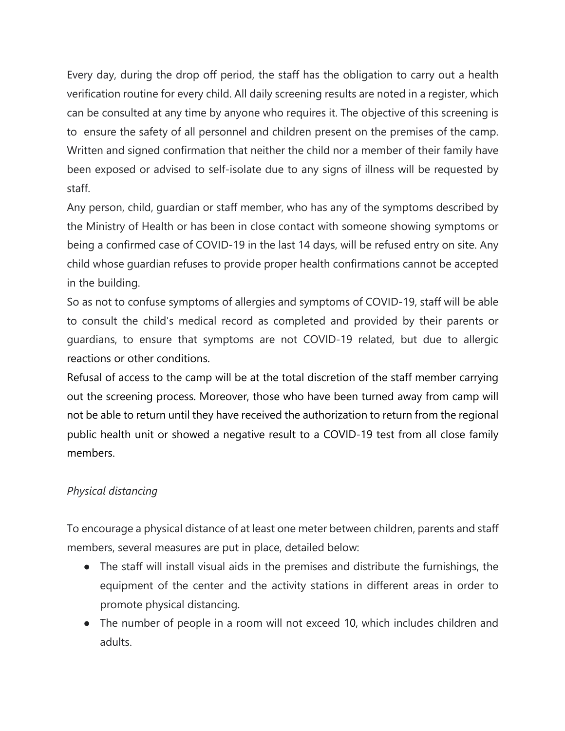Every day, during the drop off period, the staff has the obligation to carry out a health verification routine for every child. All daily screening results are noted in a register, which can be consulted at any time by anyone who requires it. The objective of this screening is to ensure the safety of all personnel and children present on the premises of the camp. Written and signed confirmation that neither the child nor a member of their family have been exposed or advised to self-isolate due to any signs of illness will be requested by staff.

Any person, child, guardian or staff member, who has any of the symptoms described by the Ministry of Health or has been in close contact with someone showing symptoms or being a confirmed case of COVID-19 in the last 14 days, will be refused entry on site. Any child whose guardian refuses to provide proper health confirmations cannot be accepted in the building.

So as not to confuse symptoms of allergies and symptoms of COVID-19, staff will be able to consult the child's medical record as completed and provided by their parents or guardians, to ensure that symptoms are not COVID-19 related, but due to allergic reactions or other conditions.

Refusal of access to the camp will be at the total discretion of the staff member carrying out the screening process. Moreover, those who have been turned away from camp will not be able to return until they have received the authorization to return from the regional public health unit or showed a negative result to a COVID-19 test from all close family members.

## *Physical distancing*

To encourage a physical distance of at least one meter between children, parents and staff members, several measures are put in place, detailed below:

- The staff will install visual aids in the premises and distribute the furnishings, the equipment of the center and the activity stations in different areas in order to promote physical distancing.
- The number of people in a room will not exceed 10, which includes children and adults.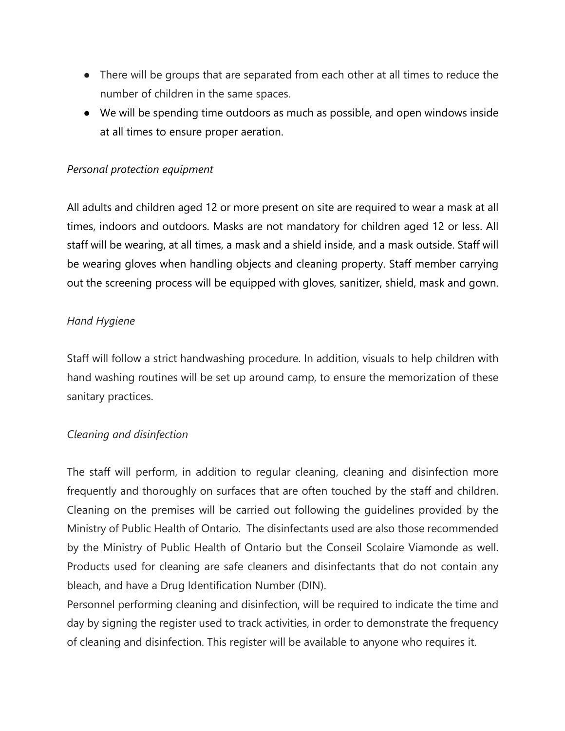- There will be groups that are separated from each other at all times to reduce the number of children in the same spaces.
- We will be spending time outdoors as much as possible, and open windows inside at all times to ensure proper aeration.

#### *Personal protection equipment*

All adults and children aged 12 or more present on site are required to wear a mask at all times, indoors and outdoors. Masks are not mandatory for children aged 12 or less. All staff will be wearing, at all times, a mask and a shield inside, and a mask outside. Staff will be wearing gloves when handling objects and cleaning property. Staff member carrying out the screening process will be equipped with gloves, sanitizer, shield, mask and gown.

#### *Hand Hygiene*

Staff will follow a strict handwashing procedure. In addition, visuals to help children with hand washing routines will be set up around camp, to ensure the memorization of these sanitary practices.

#### *Cleaning and disinfection*

The staff will perform, in addition to regular cleaning, cleaning and disinfection more frequently and thoroughly on surfaces that are often touched by the staff and children. Cleaning on the premises will be carried out following the guidelines provided by the Ministry of Public Health of Ontario. The disinfectants used are also those recommended by the Ministry of Public Health of Ontario but the Conseil Scolaire Viamonde as well. Products used for cleaning are safe cleaners and disinfectants that do not contain any bleach, and have a Drug Identification Number (DIN).

Personnel performing cleaning and disinfection, will be required to indicate the time and day by signing the register used to track activities, in order to demonstrate the frequency of cleaning and disinfection. This register will be available to anyone who requires it.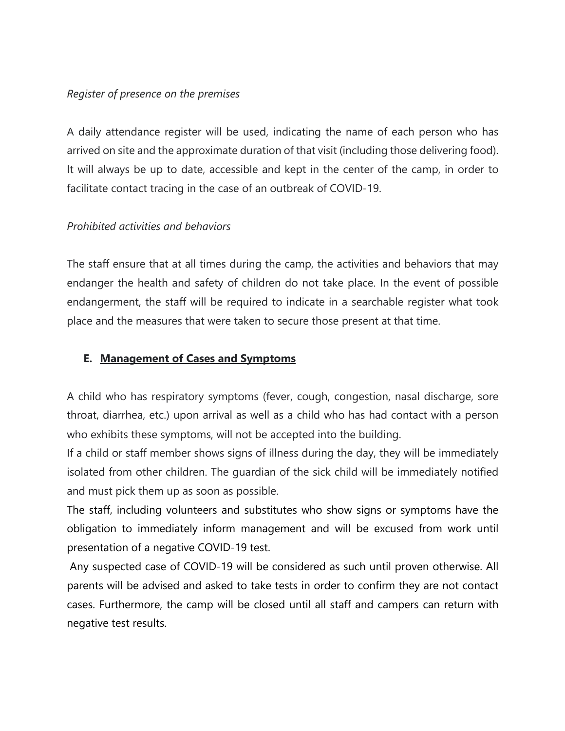#### *Register of presence on the premises*

A daily attendance register will be used, indicating the name of each person who has arrived on site and the approximate duration of that visit (including those delivering food). It will always be up to date, accessible and kept in the center of the camp, in order to facilitate contact tracing in the case of an outbreak of COVID-19.

#### *Prohibited activities and behaviors*

The staff ensure that at all times during the camp, the activities and behaviors that may endanger the health and safety of children do not take place. In the event of possible endangerment, the staff will be required to indicate in a searchable register what took place and the measures that were taken to secure those present at that time.

#### **E. Management of Cases and Symptoms**

A child who has respiratory symptoms (fever, cough, congestion, nasal discharge, sore throat, diarrhea, etc.) upon arrival as well as a child who has had contact with a person who exhibits these symptoms, will not be accepted into the building.

If a child or staff member shows signs of illness during the day, they will be immediately isolated from other children. The guardian of the sick child will be immediately notified and must pick them up as soon as possible.

The staff, including volunteers and substitutes who show signs or symptoms have the obligation to immediately inform management and will be excused from work until presentation of a negative COVID-19 test.

Any suspected case of COVID-19 will be considered as such until proven otherwise. All parents will be advised and asked to take tests in order to confirm they are not contact cases. Furthermore, the camp will be closed until all staff and campers can return with negative test results.